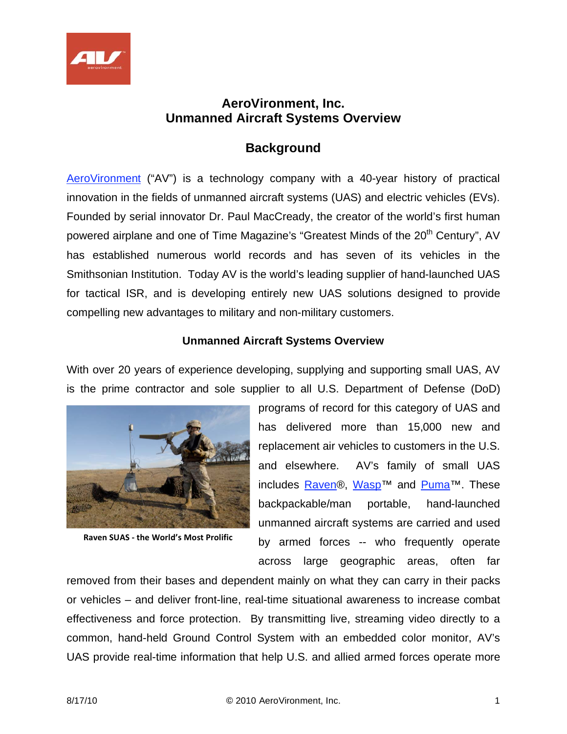

# **AeroVironment, Inc. Unmanned Aircraft Systems Overview**

# **Background**

AeroVironment ("AV") is a technology company with a 40-year history of practical innovation in the fields of unmanned aircraft systems (UAS) and electric vehicles (EVs). Founded by serial innovator Dr. Paul MacCready, the creator of the world's first human powered airplane and one of Time Magazine's "Greatest Minds of the 20<sup>th</sup> Century", AV has established numerous world records and has seven of its vehicles in the Smithsonian Institution. Today AV is the world's leading supplier of hand-launched UAS for tactical ISR, and is developing entirely new UAS solutions designed to provide compelling new advantages to military and non-military customers.

### **Unmanned Aircraft Systems Overview**

With over 20 years of experience developing, supplying and supporting small UAS, AV is the prime contractor and sole supplier to all U.S. Department of Defense (DoD)



**Raven SUAS - the World's Most Prolific** 

programs of record for this category of UAS and has delivered more than 15,000 new and replacement air vehicles to customers in the U.S. and elsewhere. AV's family of small UAS includes Raven®, Wasp™ and Puma™. These backpackable/man portable, hand-launched unmanned aircraft systems are carried and used by armed forces -- who frequently operate across large geographic areas, often far

removed from their bases and dependent mainly on what they can carry in their packs or vehicles – and deliver front-line, real-time situational awareness to increase combat effectiveness and force protection. By transmitting live, streaming video directly to a common, hand-held Ground Control System with an embedded color monitor, AV's UAS provide real-time information that help U.S. and allied armed forces operate more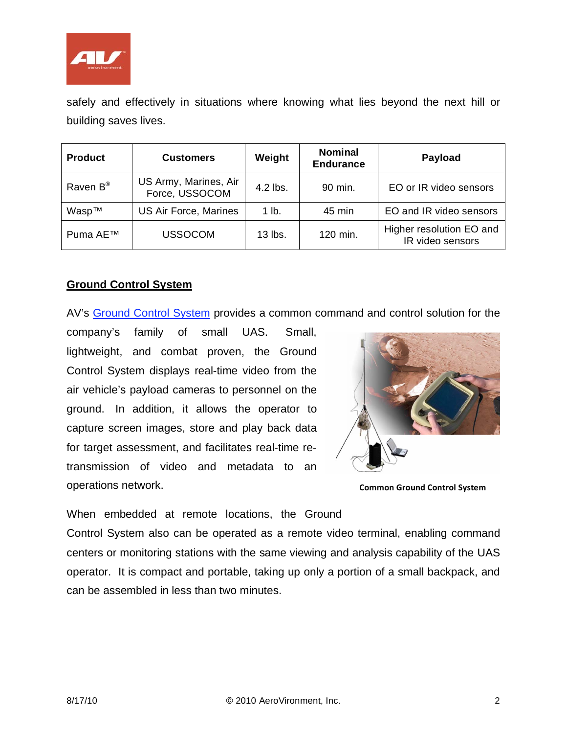

safely and effectively in situations where knowing what lies beyond the next hill or building saves lives.

| <b>Product</b>       | <b>Customers</b>                        | Weight   | <b>Nominal</b><br><b>Endurance</b> | Payload                                      |
|----------------------|-----------------------------------------|----------|------------------------------------|----------------------------------------------|
| Raven B <sup>®</sup> | US Army, Marines, Air<br>Force, USSOCOM | 4.2 lbs. | 90 min.                            | EO or IR video sensors                       |
| Wasp™                | US Air Force, Marines                   | 1 lb.    | 45 min                             | EO and IR video sensors                      |
| Puma AE™             | <b>USSOCOM</b>                          | 13 lbs.  | 120 min.                           | Higher resolution EO and<br>IR video sensors |

### **Ground Control System**

AV's Ground Control System provides a common command and control solution for the

company's family of small UAS. Small, lightweight, and combat proven, the Ground Control System displays real-time video from the air vehicle's payload cameras to personnel on the ground. In addition, it allows the operator to capture screen images, store and play back data for target assessment, and facilitates real-time retransmission of video and metadata to an operations network.



**Common Ground Control System** 

When embedded at remote locations, the Ground

Control System also can be operated as a remote video terminal, enabling command centers or monitoring stations with the same viewing and analysis capability of the UAS operator. It is compact and portable, taking up only a portion of a small backpack, and can be assembled in less than two minutes.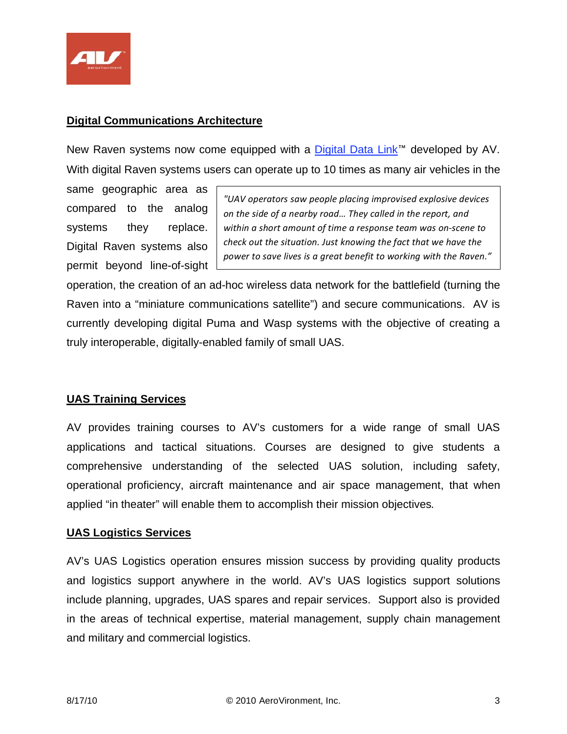

### **Digital Communications Architecture**

New Raven systems now come equipped with a <u>Digital Data Link</u>™ developed by AV. With digital Raven systems users can operate up to 10 times as many air vehicles in the

same geographic area as compared to the analog systems they replace. Digital Raven systems also permit beyond line-of-sight

"UAV operators saw people placing improvised explosive devices on the side of a nearby road... They called in the report, and within a short amount of time a response team was on-scene to check out the situation. Just knowing the fact that we have the power to save lives is a great benefit to working with the Raven."

operation, the creation of an ad-hoc wireless data network for the battlefield (turning the Raven into a "miniature communications satellite") and secure communications. AV is currently developing digital Puma and Wasp systems with the objective of creating a truly interoperable, digitally-enabled family of small UAS.

## **UAS Training Services**

AV provides training courses to AV's customers for a wide range of small UAS applications and tactical situations. Courses are designed to give students a comprehensive understanding of the selected UAS solution, including safety, operational proficiency, aircraft maintenance and air space management, that when applied "in theater" will enable them to accomplish their mission objectives.

#### **UAS Logistics Services**

AV's UAS Logistics operation ensures mission success by providing quality products and logistics support anywhere in the world. AV's UAS logistics support solutions include planning, upgrades, UAS spares and repair services. Support also is provided in the areas of technical expertise, material management, supply chain management and military and commercial logistics.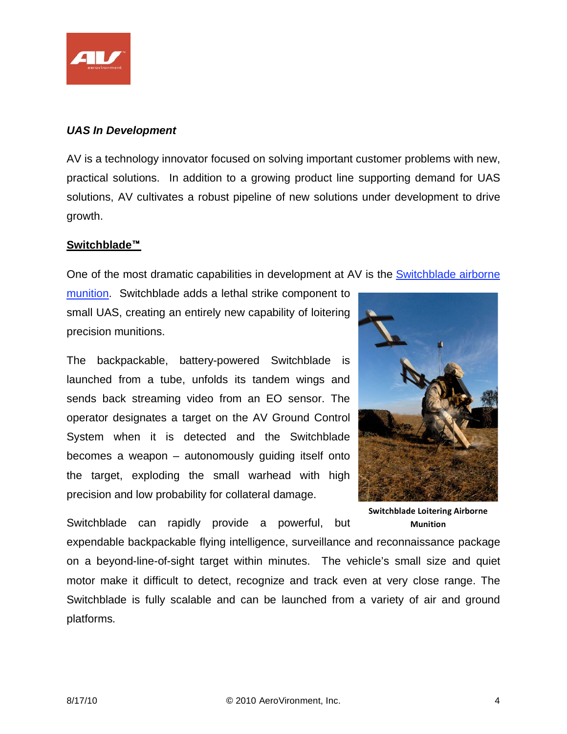

#### *UAS In Development*

AV is a technology innovator focused on solving important customer problems with new, practical solutions. In addition to a growing product line supporting demand for UAS solutions, AV cultivates a robust pipeline of new solutions under development to drive growth.

## <u>Switchblade™</u>

One of the most dramatic capabilities in development at AV is the **Switchblade airborne** 

munition. Switchblade adds a lethal strike component to small UAS, creating an entirely new capability of loitering precision munitions.

The backpackable, battery-powered Switchblade is launched from a tube, unfolds its tandem wings and sends back streaming video from an EO sensor. The operator designates a target on the AV Ground Control System when it is detected and the Switchblade becomes a weapon – autonomously guiding itself onto the target, exploding the small warhead with high precision and low probability for collateral damage.

Switchblade can rapidly provide a powerful, but



Switchblade Loitering Airborne **Munition** 

expendable backpackable flying intelligence, surveillance and reconnaissance package on a beyond-line-of-sight target within minutes. The vehicle's small size and quiet motor make it difficult to detect, recognize and track even at very close range. The Switchblade is fully scalable and can be launched from a variety of air and ground platforms.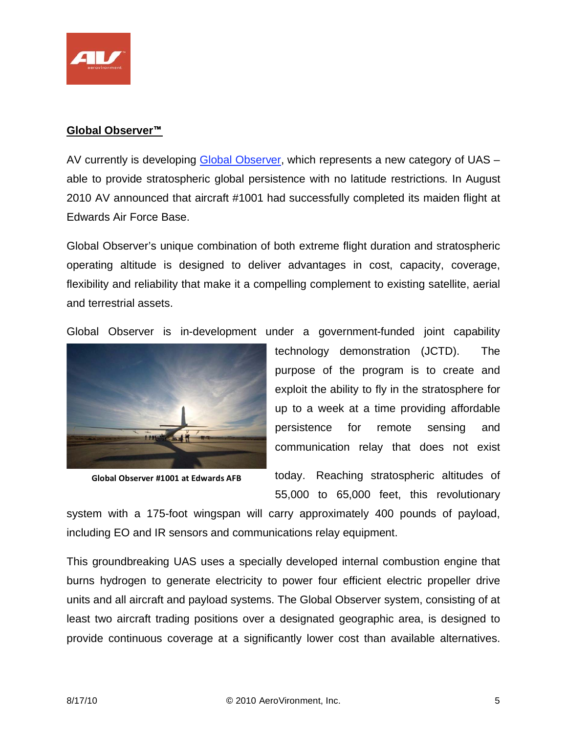

# **Global Observer**-

AV currently is developing Global Observer, which represents a new category of UAS – able to provide stratospheric global persistence with no latitude restrictions. In August 2010 AV announced that aircraft #1001 had successfully completed its maiden flight at Edwards Air Force Base.

Global Observer's unique combination of both extreme flight duration and stratospheric operating altitude is designed to deliver advantages in cost, capacity, coverage, flexibility and reliability that make it a compelling complement to existing satellite, aerial and terrestrial assets.

Global Observer is in-development under a government-funded joint capability



Global Observer #1001 at Edwards AFB

technology demonstration (JCTD). The purpose of the program is to create and exploit the ability to fly in the stratosphere for up to a week at a time providing affordable persistence for remote sensing and communication relay that does not exist

today. Reaching stratospheric altitudes of 55,000 to 65,000 feet, this revolutionary

system with a 175-foot wingspan will carry approximately 400 pounds of payload, including EO and IR sensors and communications relay equipment.

This groundbreaking UAS uses a specially developed internal combustion engine that burns hydrogen to generate electricity to power four efficient electric propeller drive units and all aircraft and payload systems. The Global Observer system, consisting of at least two aircraft trading positions over a designated geographic area, is designed to provide continuous coverage at a significantly lower cost than available alternatives.